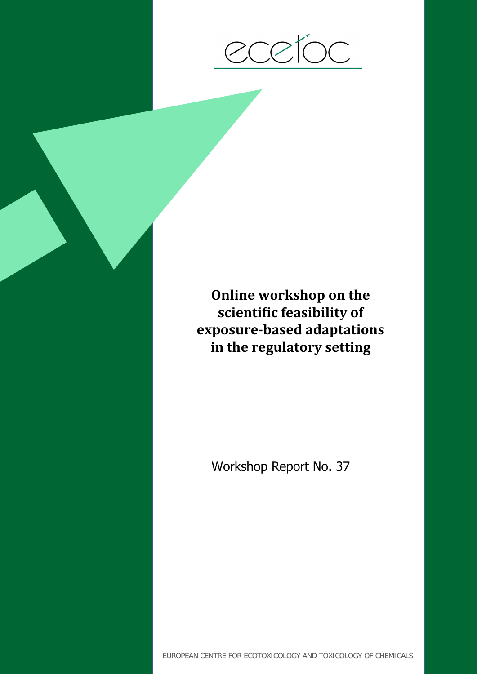

**Online workshop on the scientific feasibility of exposure-based adaptations in the regulatory setting**

Workshop Report No. 37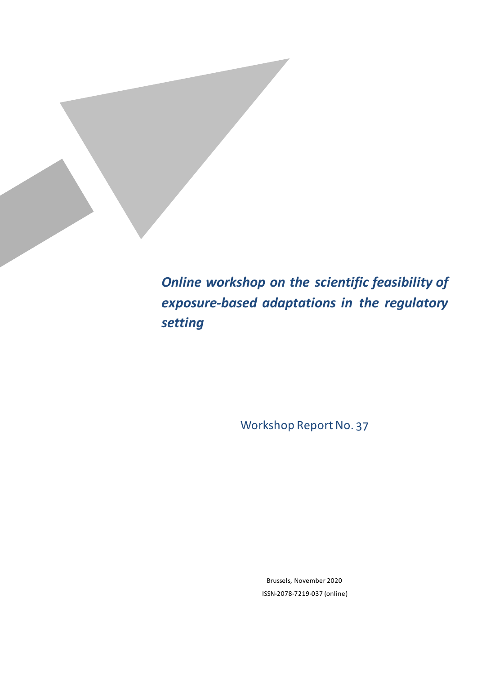*Online workshop on the scientific feasibility of exposure-based adaptations in the regulatory setting*

Workshop Report No. 37

Brussels, November 2020 ISSN-2078-7219-037 (online)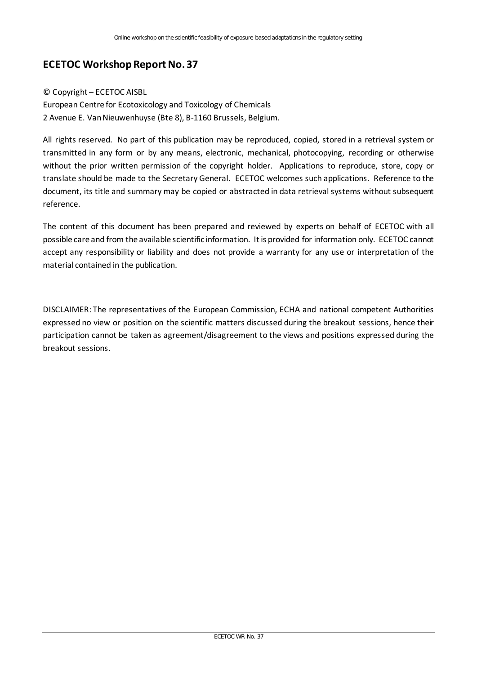### **ECETOC Workshop Report No. 37**

#### © Copyright – ECETOC AISBL

European Centre for Ecotoxicology and Toxicology of Chemicals 2 Avenue E. Van Nieuwenhuyse (Bte 8), B-1160 Brussels, Belgium.

All rights reserved. No part of this publication may be reproduced, copied, stored in a retrieval system or transmitted in any form or by any means, electronic, mechanical, photocopying, recording or otherwise without the prior written permission of the copyright holder. Applications to reproduce, store, copy or translate should be made to the Secretary General. ECETOC welcomes such applications. Reference to the document, its title and summary may be copied or abstracted in data retrieval systems without subsequent reference.

The content of this document has been prepared and reviewed by experts on behalf of ECETOC with all possible care and from the available scientific information. It is provided for information only. ECETOC cannot accept any responsibility or liability and does not provide a warranty for any use or interpretation of the material contained in the publication.

DISCLAIMER: The representatives of the European Commission, ECHA and national competent Authorities expressed no view or position on the scientific matters discussed during the breakout sessions, hence their participation cannot be taken as agreement/disagreement to the views and positions expressed during the breakout sessions.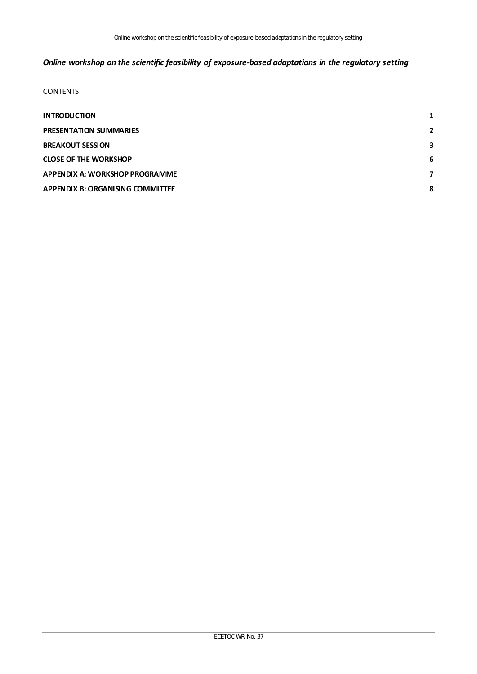### *Online workshop on the scientific feasibility of exposure-based adaptations in the regulatory setting*

#### **CONTENTS**

| $\overline{2}$ |
|----------------|
| 3              |
| 6              |
| 7              |
| 8              |
|                |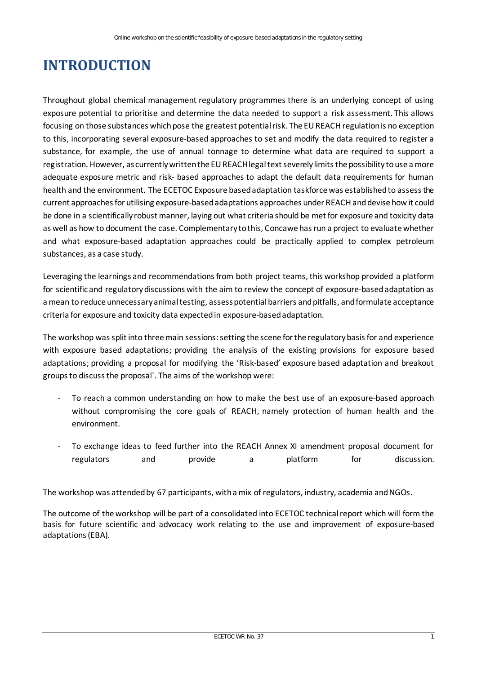# <span id="page-6-0"></span>**INTRODUCTION**

Throughout global chemical management regulatory programmes there is an underlying concept of using exposure potential to prioritise and determine the data needed to support a risk assessment. This allows focusing on those substances which pose the greatest potential risk. The EU REACH regulation is no exception to this, incorporating several exposure-based approaches to set and modify the data required to register a substance, for example, the use of annual tonnage to determine what data are required to support a registration. However, as currently written the EU REACH legal text severely limits the possibility to use a more adequate exposure metric and risk- based approaches to adapt the default data requirements for human health and the environment. The ECETOC Exposure based adaptation taskforce was established to assess the current approaches for utilising exposure-based adaptations approaches under REACH and devise how it could be done in a scientifically robust manner, laying out what criteria should be met for exposure and toxicity data as well as how to document the case. Complementary to this, Concawe has run a project to evaluate whether and what exposure-based adaptation approaches could be practically applied to complex petroleum substances, as a case study.

Leveraging the learnings and recommendations from both project teams, this workshop provided a platform for scientific and regulatory discussions with the aim to review the concept of exposure-based adaptation as a mean to reduce unnecessary animal testing, assess potential barriers and pitfalls, and formulate acceptance criteria for exposure and toxicity data expected in exposure-based adaptation.

The workshop was split into three main sessions: setting the scene for the regulatory basis for and experience with exposure based adaptations; providing the analysis of the existing provisions for exposure based adaptations; providing a proposal for modifying the 'Risk-based' exposure based adaptation and breakout groups to discuss the proposal`. The aims of the workshop were:

- To reach a common understanding on how to make the best use of an exposure-based approach without compromising the core goals of REACH, namely protection of human health and the environment.
- To exchange ideas to feed further into the REACH Annex XI amendment proposal document for regulators and provide a platform for discussion.

The workshop was attended by 67 participants, with a mix of regulators, industry, academia and NGOs.

The outcome of the workshop will be part of a consolidated into ECETOC technical report which will form the basis for future scientific and advocacy work relating to the use and improvement of exposure-based adaptations (EBA).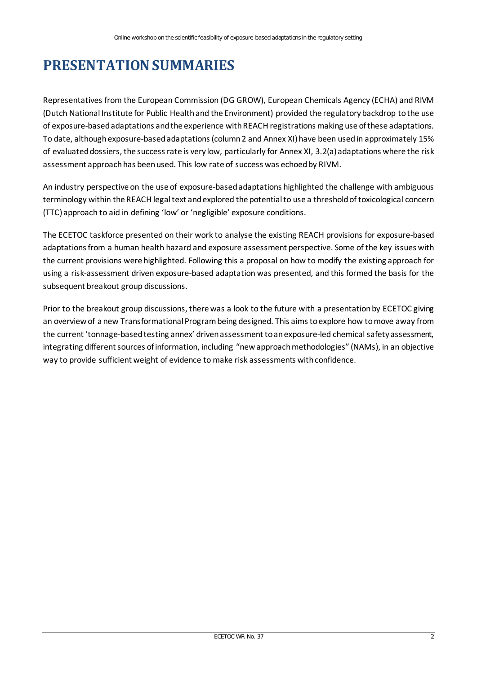## <span id="page-7-0"></span>**PRESENTATION SUMMARIES**

Representatives from the European Commission (DG GROW), European Chemicals Agency (ECHA) and RIVM (Dutch National Institute for Public Health and the Environment) provided the regulatory backdrop to the use of exposure-based adaptations and the experience with REACH registrations making use of these adaptations. To date, although exposure-based adaptations (column 2 and Annex XI) have been used in approximately 15% of evaluated dossiers, the success rate is very low, particularly for Annex XI, 3.2(a) adaptations where the risk assessment approach has been used. This low rate of success was echoed by RIVM.

An industry perspective on the use of exposure-based adaptations highlighted the challenge with ambiguous terminology within the REACH legal text and explored the potential to use a threshold of toxicological concern (TTC) approach to aid in defining 'low' or 'negligible' exposure conditions.

The ECETOC taskforce presented on their work to analyse the existing REACH provisions for exposure-based adaptations from a human health hazard and exposure assessment perspective. Some of the key issues with the current provisions were highlighted. Following this a proposal on how to modify the existing approach for using a risk-assessment driven exposure-based adaptation was presented, and this formed the basis for the subsequent breakout group discussions.

Prior to the breakout group discussions, there was a look to the future with a presentation by ECETOC giving an overview of a new Transformational Program being designed. This aims to explore how to move away from the current 'tonnage-based testing annex' driven assessment to an exposure-led chemical safety assessment, integrating different sources of information, including "new approach methodologies" (NAMs), in an objective way to provide sufficient weight of evidence to make risk assessments with confidence.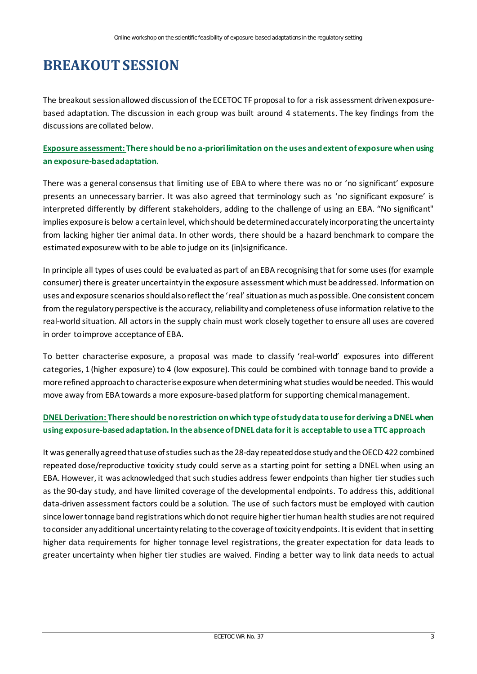### <span id="page-8-0"></span>**BREAKOUT SESSION**

The breakout session allowed discussion of the ECETOC TF proposal to for a risk assessment driven exposurebased adaptation. The discussion in each group was built around 4 statements. The key findings from the discussions are collated below.

#### **Exposure assessment: There should be no a-priori limitation on the uses and extent of exposure when using an exposure-based adaptation.**

There was a general consensus that limiting use of EBA to where there was no or 'no significant' exposure presents an unnecessary barrier. It was also agreed that terminology such as 'no significant exposure' is interpreted differently by different stakeholders, adding to the challenge of using an EBA. "No significant" implies exposure is below a certain level, which should be determined accurately incorporating the uncertainty from lacking higher tier animal data. In other words, there should be a hazard benchmark to compare the estimated exposurew with to be able to judge on its (in)significance.

In principle all types of uses could be evaluated as part of an EBA recognising that for some uses (for example consumer) there is greater uncertainty in the exposure assessment which must be addressed. Information on uses and exposure scenarios should also reflect the 'real' situation as much as possible. One consistent concern from the regulatory perspective is the accuracy, reliability and completeness of use information relative to the real-world situation. All actors in the supply chain must work closely together to ensure all uses are covered in order to improve acceptance of EBA.

To better characterise exposure, a proposal was made to classify 'real-world' exposures into different categories, 1 (higher exposure) to 4 (low exposure). This could be combined with tonnage band to provide a more refined approach to characterise exposure when determining what studies would be needed. This would move away from EBA towards a more exposure-based platform for supporting chemical management.

### **DNEL Derivation: There should be no restriction on which type of study data to use for deriving a DNEL when using exposure-based adaptation. In the absence of DNEL data for it is acceptable to use a TTC approach**

It was generally agreed that use of studies such as the 28-day repeated dose study and the OECD 422 combined repeated dose/reproductive toxicity study could serve as a starting point for setting a DNEL when using an EBA. However, it was acknowledged that such studies address fewer endpoints than higher tier studies such as the 90-day study, and have limited coverage of the developmental endpoints. To address this, additional data-driven assessment factors could be a solution. The use of such factors must be employed with caution since lower tonnage band registrations which do not require higher tier human health studies are not required to consider any additional uncertainty relating to the coverage of toxicity endpoints. It is evident that in setting higher data requirements for higher tonnage level registrations, the greater expectation for data leads to greater uncertainty when higher tier studies are waived. Finding a better way to link data needs to actual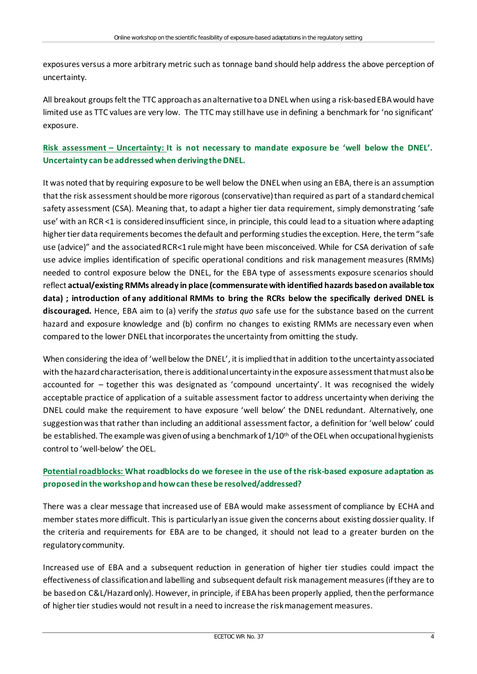exposures versus a more arbitrary metric such as tonnage band should help address the above perception of uncertainty.

All breakout groups felt the TTC approach as an alternative to a DNEL when using a risk-based EBA would have limited use as TTC values are very low. The TTC may still have use in defining a benchmark for 'no significant' exposure.

#### **Risk assessment – Uncertainty: It is not necessary to mandate exposure be 'well below the DNEL'. Uncertainty can be addressed when deriving the DNEL.**

It was noted that by requiring exposure to be well below the DNEL when using an EBA, there is an assumption that the risk assessment should be more rigorous (conservative) than required as part of a standard chemical safety assessment (CSA). Meaning that, to adapt a higher tier data requirement, simply demonstrating 'safe use' with an RCR <1 is considered insufficient since, in principle, this could lead to a situation where adapting higher tier data requirements becomes the default and performing studies the exception. Here, the term "safe use (advice)" and the associated RCR<1 rule might have been misconceived. While for CSA derivation of safe use advice implies identification of specific operational conditions and risk management measures (RMMs) needed to control exposure below the DNEL, for the EBA type of assessments exposure scenarios should reflect **actual/existing RMMs already in place (commensurate with identified hazards based on available tox data) ; introduction of any additional RMMs to bring the RCRs below the specifically derived DNEL is discouraged.** Hence, EBA aim to (a) verify the *status quo* safe use for the substance based on the current hazard and exposure knowledge and (b) confirm no changes to existing RMMs are necessary even when compared to the lower DNEL that incorporates the uncertainty from omitting the study.

When considering the idea of 'well below the DNEL', it is implied that in addition to the uncertainty associated with the hazard characterisation, there is additional uncertainty in the exposure assessment that must also be accounted for – together this was designated as 'compound uncertainty'. It was recognised the widely acceptable practice of application of a suitable assessment factor to address uncertainty when deriving the DNEL could make the requirement to have exposure 'well below' the DNEL redundant. Alternatively, one suggestion was that rather than including an additional assessment factor, a definition for 'well below' could be established. The example was given of using a benchmark of  $1/10<sup>th</sup>$  of the OEL when occupational hygienists control to 'well-below' the OEL.

#### **Potential roadblocks: What roadblocks do we foresee in the use of the risk-based exposure adaptation as proposed in the workshop and how can these be resolved/addressed?**

There was a clear message that increased use of EBA would make assessment of compliance by ECHA and member states more difficult. This is particularly an issue given the concerns about existing dossier quality. If the criteria and requirements for EBA are to be changed, it should not lead to a greater burden on the regulatory community.

Increased use of EBA and a subsequent reduction in generation of higher tier studies could impact the effectiveness of classification and labelling and subsequent default risk management measures (ifthey are to be based on C&L/Hazard only). However, in principle, if EBA has been properly applied, then the performance of higher tier studies would not result in a need to increase the risk management measures.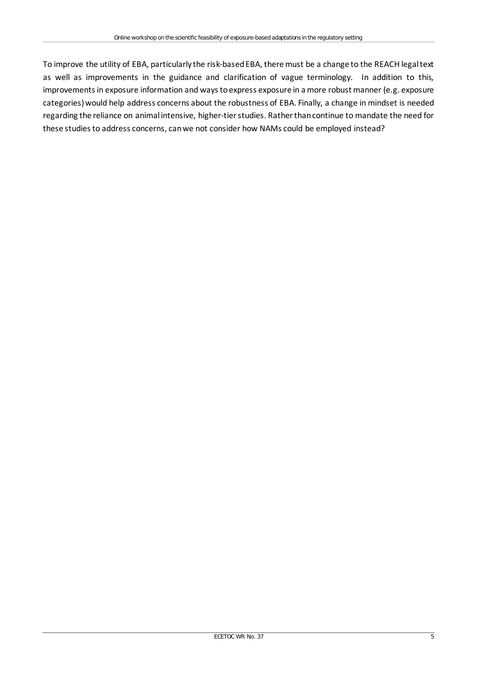To improve the utility of EBA, particularly the risk-based EBA, there must be a change to the REACH legal text as well as improvements in the guidance and clarification of vague terminology. In addition to this, improvements in exposure information and ways to express exposure in a more robust manner (e.g. exposure categories) would help address concerns about the robustness of EBA. Finally, a change in mindset is needed regarding the reliance on animal intensive, higher-tier studies. Rather than continue to mandate the need for these studies to address concerns, can we not consider how NAMs could be employed instead?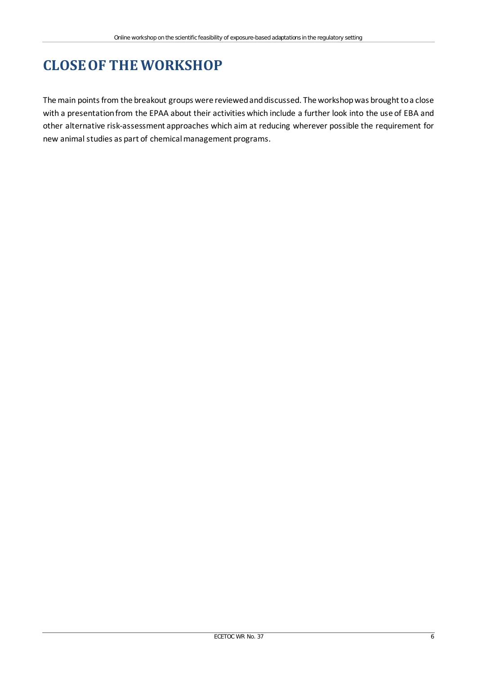# <span id="page-11-0"></span>**CLOSE OF THE WORKSHOP**

The main points from the breakout groups were reviewed and discussed. The workshop was brought to a close with a presentation from the EPAA about their activities which include a further look into the use of EBA and other alternative risk-assessment approaches which aim at reducing wherever possible the requirement for new animal studies as part of chemical management programs.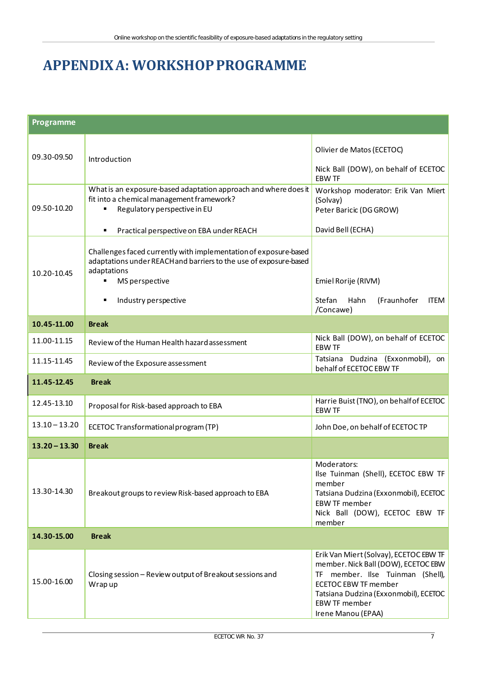### <span id="page-12-0"></span>**APPENDIX A: WORKSHOP PROGRAMME**

| <b>Programme</b> |                                                                                                                                                                        |                                                                                                                                                                                                                                         |  |
|------------------|------------------------------------------------------------------------------------------------------------------------------------------------------------------------|-----------------------------------------------------------------------------------------------------------------------------------------------------------------------------------------------------------------------------------------|--|
| 09.30-09.50      | Introduction                                                                                                                                                           | Olivier de Matos (ECETOC)<br>Nick Ball (DOW), on behalf of ECETOC<br><b>EBW TF</b>                                                                                                                                                      |  |
| 09.50-10.20      | What is an exposure-based adaptation approach and where does it<br>fit into a chemical management framework?<br>Regulatory perspective in EU                           | Workshop moderator: Erik Van Miert<br>(Solvay)<br>Peter Baricic (DG GROW)                                                                                                                                                               |  |
|                  | Practical perspective on EBA under REACH<br>п                                                                                                                          | David Bell (ECHA)                                                                                                                                                                                                                       |  |
| 10.20-10.45      | Challenges faced currently with implementation of exposure-based<br>adaptations under REACH and barriers to the use of exposure-based<br>adaptations<br>MS perspective | Emiel Rorije (RIVM)                                                                                                                                                                                                                     |  |
|                  | Industry perspective<br>٠                                                                                                                                              | Stefan<br>Hahn<br>(Fraunhofer<br><b>ITEM</b><br>/Concawe)                                                                                                                                                                               |  |
| 10.45-11.00      | <b>Break</b>                                                                                                                                                           |                                                                                                                                                                                                                                         |  |
| 11.00-11.15      | Review of the Human Health hazard assessment                                                                                                                           | Nick Ball (DOW), on behalf of ECETOC<br><b>EBW TF</b>                                                                                                                                                                                   |  |
| 11.15-11.45      | Review of the Exposure assessment                                                                                                                                      | Tatsiana Dudzina (Exxonmobil), on<br>behalf of ECETOC EBW TF                                                                                                                                                                            |  |
| 11.45-12.45      | <b>Break</b>                                                                                                                                                           |                                                                                                                                                                                                                                         |  |
| 12.45-13.10      | Proposal for Risk-based approach to EBA                                                                                                                                | Harrie Buist (TNO), on behalf of ECETOC<br><b>EBW TF</b>                                                                                                                                                                                |  |
| $13.10 - 13.20$  | ECETOC Transformational program (TP)                                                                                                                                   | John Doe, on behalf of ECETOC TP                                                                                                                                                                                                        |  |
| $13.20 - 13.30$  | <b>Break</b>                                                                                                                                                           |                                                                                                                                                                                                                                         |  |
| 13.30-14.30      | Breakout groups to review Risk-based approach to EBA                                                                                                                   | Moderators:<br>Ilse Tuinman (Shell), ECETOC EBW TF<br>member<br>Tatsiana Dudzina (Exxonmobil), ECETOC<br><b>EBW TF member</b><br>Nick Ball (DOW), ECETOC EBW TF<br>member                                                               |  |
| 14.30-15.00      | <b>Break</b>                                                                                                                                                           |                                                                                                                                                                                                                                         |  |
| 15.00-16.00      | Closing session - Review output of Breakout sessions and<br>Wrap up                                                                                                    | Erik Van Miert (Solvay), ECETOC EBW TF<br>member. Nick Ball (DOW), ECETOC EBW<br>TF member. Ilse Tuinman (Shell),<br><b>ECETOC EBW TF member</b><br>Tatsiana Dudzina (Exxonmobil), ECETOC<br><b>EBW TF member</b><br>Irene Manou (EPAA) |  |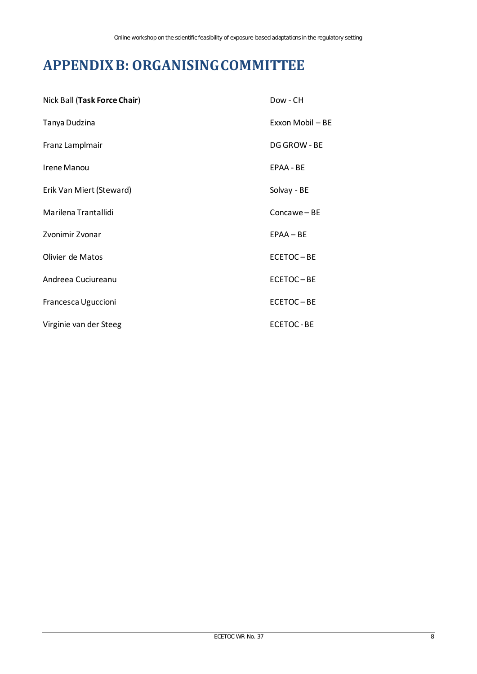### <span id="page-13-0"></span>**APPENDIX B: ORGANISING COMMITTEE**

| Nick Ball (Task Force Chair) | Dow - CH         |
|------------------------------|------------------|
| Tanya Dudzina                | Exxon Mobil - BE |
| Franz Lamplmair              | DG GROW - BE     |
| <b>Irene Manou</b>           | EPAA - BE        |
| Erik Van Miert (Steward)     | Solvay - BE      |
| Marilena Trantallidi         | Concawe-BE       |
| Zvonimir Zvonar              | $EPAA - BE$      |
| Olivier de Matos             | ECETOC-BE        |
| Andreea Cuciureanu           | ECETOC-BE        |
| Francesca Uguccioni          | ECETOC-BE        |
| Virginie van der Steeg       | <b>ECETOC-BE</b> |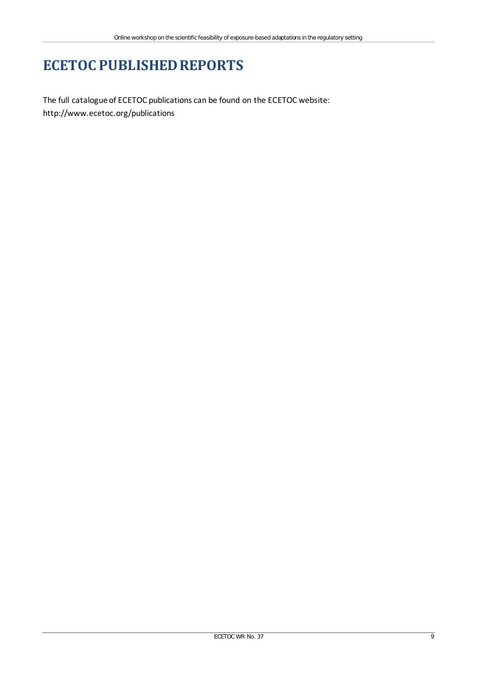### **ECETOC PUBLISHED REPORTS**

The full catalogue of ECETOC publications can be found on the ECETOC website: <http://www.ecetoc.org/publications>